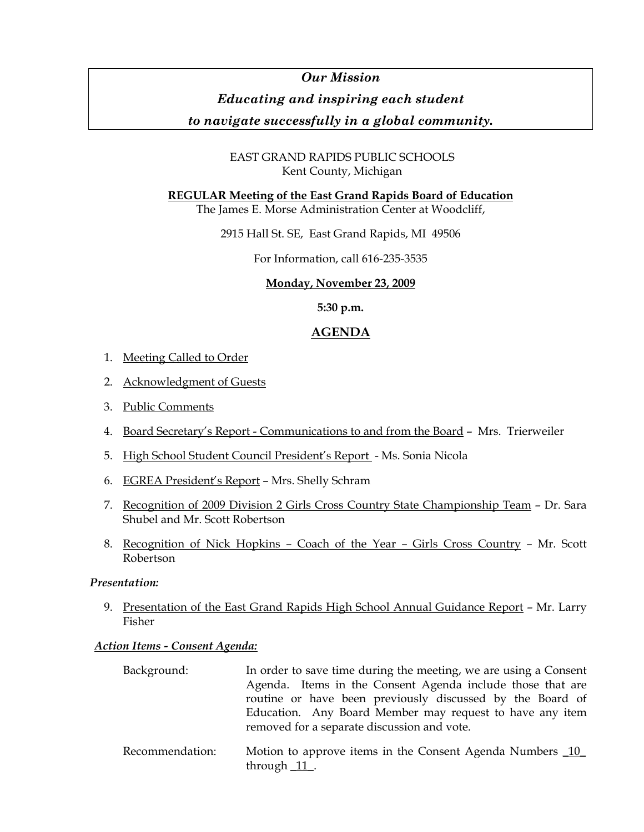## *Our Mission*

# *Educating and inspiring each student*

## *to navigate successfully in a global community.*

## EAST GRAND RAPIDS PUBLIC SCHOOLS Kent County, Michigan

### **REGULAR Meeting of the East Grand Rapids Board of Education**

The James E. Morse Administration Center at Woodcliff,

2915 Hall St. SE, East Grand Rapids, MI 49506

For Information, call 616-235-3535

### **Monday, November 23, 2009**

**5:30 p.m.** 

## **AGENDA**

- 1. Meeting Called to Order
- 2. Acknowledgment of Guests
- 3. Public Comments
- 4. Board Secretary's Report Communications to and from the Board Mrs. Trierweiler
- 5. High School Student Council President's Report Ms. Sonia Nicola
- 6. EGREA President's Report Mrs. Shelly Schram
- 7. Recognition of 2009 Division 2 Girls Cross Country State Championship Team Dr. Sara Shubel and Mr. Scott Robertson
- 8. Recognition of Nick Hopkins Coach of the Year Girls Cross Country Mr. Scott Robertson

#### *Presentation:*

9. Presentation of the East Grand Rapids High School Annual Guidance Report - Mr. Larry Fisher

### *Action Items - Consent Agenda:*

| Background: | In order to save time during the meeting, we are using a Consent |
|-------------|------------------------------------------------------------------|
|             | Agenda. Items in the Consent Agenda include those that are       |
|             | routine or have been previously discussed by the Board of        |
|             | Education. Any Board Member may request to have any item         |
|             | removed for a separate discussion and vote.                      |
|             |                                                                  |

 Recommendation: Motion to approve items in the Consent Agenda Numbers \_10\_ through  $11$ .